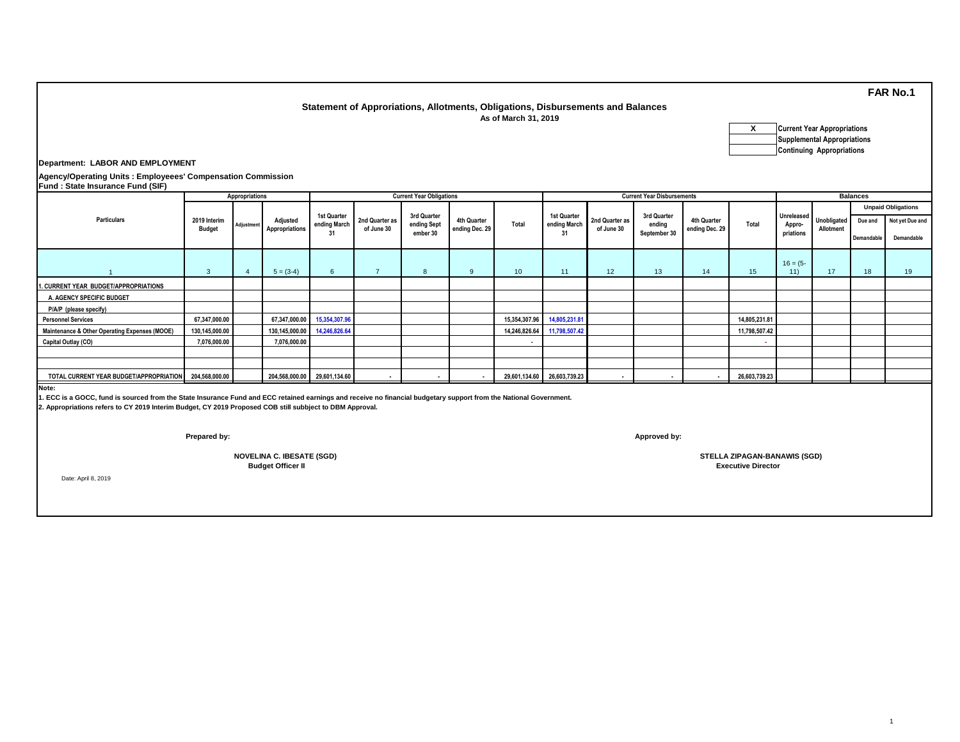## **Statement of Approriations, Allotments, Obligations, Disbursements and Balances As of March 31, 2019**

**X Current Year Appropriations Supplemental Appropriations Continuing Appropriations**

**Department: LABOR AND EMPLOYMENT**

**Agency/Operating Units : Employeees' Compensation Commission**

| <b>Fund: State Insurance Fund (SIF)</b>                |                               |            |                              |                             |                              |                                        |                               |                 |                                   |                              |                                       |                               |                  |                     |                                     |                           |                 |  |  |
|--------------------------------------------------------|-------------------------------|------------|------------------------------|-----------------------------|------------------------------|----------------------------------------|-------------------------------|-----------------|-----------------------------------|------------------------------|---------------------------------------|-------------------------------|------------------|---------------------|-------------------------------------|---------------------------|-----------------|--|--|
|                                                        | Appropriations                |            |                              |                             |                              | <b>Current Year Obligations</b>        |                               |                 | <b>Current Year Disbursements</b> |                              |                                       |                               |                  |                     | <b>Balances</b>                     |                           |                 |  |  |
| <b>Particulars</b>                                     |                               |            | Adjusted<br>Appropriations   |                             |                              | 3rd Quarter<br>ending Sept<br>ember 30 | 4th Quarter<br>ending Dec. 29 | Total           | 1st Quarter<br>ending March<br>31 | 2nd Quarter as<br>of June 30 | 3rd Quarter<br>endina<br>September 30 | 4th Quarter<br>ending Dec. 29 | Total            |                     |                                     | <b>Unpaid Obligations</b> |                 |  |  |
|                                                        | 2019 Interim<br><b>Budget</b> | Adjustment |                              | 1st Quarter<br>ending March | 2nd Quarter as<br>of June 30 |                                        |                               |                 |                                   |                              |                                       |                               |                  | Appro-<br>priations | Unreleased Unobligated<br>Allotment | Due and                   | Not yet Due and |  |  |
|                                                        |                               |            |                              |                             |                              |                                        |                               |                 |                                   |                              |                                       |                               |                  |                     |                                     | Demandable                | Demandable      |  |  |
|                                                        | $\mathbf{3}$                  |            | $5 = (3-4)$                  | 6                           | $\overline{7}$               | 8                                      | 9                             | 10 <sup>1</sup> | 11                                | 12                           | 13                                    | 14                            | 15 <sup>15</sup> | $16 = (5 -$<br>11)  | 17                                  | 18                        | 19              |  |  |
| 1. CURRENT YEAR BUDGET/APPROPRIATIONS                  |                               |            |                              |                             |                              |                                        |                               |                 |                                   |                              |                                       |                               |                  |                     |                                     |                           |                 |  |  |
| A. AGENCY SPECIFIC BUDGET                              |                               |            |                              |                             |                              |                                        |                               |                 |                                   |                              |                                       |                               |                  |                     |                                     |                           |                 |  |  |
| P/A/P (please specify)                                 |                               |            |                              |                             |                              |                                        |                               |                 |                                   |                              |                                       |                               |                  |                     |                                     |                           |                 |  |  |
| <b>Personnel Services</b>                              | 67,347,000.00                 |            |                              | 67,347,000.00 15,354,307.96 |                              |                                        |                               | 15,354,307.96   | 14,805,231.81                     |                              |                                       |                               | 14,805,231.81    |                     |                                     |                           |                 |  |  |
| Maintenance & Other Operating Expenses (MOOE)          | 130,145,000.00                |            | 130,145,000.00 14,246,826.64 |                             |                              |                                        |                               |                 | 14,246,826.64 11,798,507.42       |                              |                                       |                               | 11,798,507.42    |                     |                                     |                           |                 |  |  |
| Capital Outlay (CO)                                    | 7,076,000.00                  |            | 7,076,000.00                 |                             |                              |                                        |                               |                 |                                   |                              |                                       |                               |                  |                     |                                     |                           |                 |  |  |
|                                                        |                               |            |                              |                             |                              |                                        |                               |                 |                                   |                              |                                       |                               |                  |                     |                                     |                           |                 |  |  |
|                                                        |                               |            |                              |                             |                              |                                        |                               |                 |                                   |                              |                                       |                               |                  |                     |                                     |                           |                 |  |  |
| TOTAL CURRENT YEAR BUDGET/APPROPRIATION 204,568,000.00 |                               |            | 204,568,000.00 29,601,134.60 |                             |                              |                                        |                               |                 | 29,601,134.60 26,603,739.23       |                              |                                       |                               | 26,603,739.23    |                     |                                     |                           |                 |  |  |

**Note:**

**1. ECC is a GOCC, fund is sourced from the State Insurance Fund and ECC retained earnings and receive no financial budgetary support from the National Government.**

**2. Appropriations refers to CY 2019 Interim Budget, CY 2019 Proposed COB still subbject to DBM Approval.**

**Prepared by: Approved by:**

 **Budget Officer II**

Date: April 8, 2019

**NOVELINA C. IBESATE (SGD) STELLA ZIPAGAN-BANAWIS (SGD) Executive Director**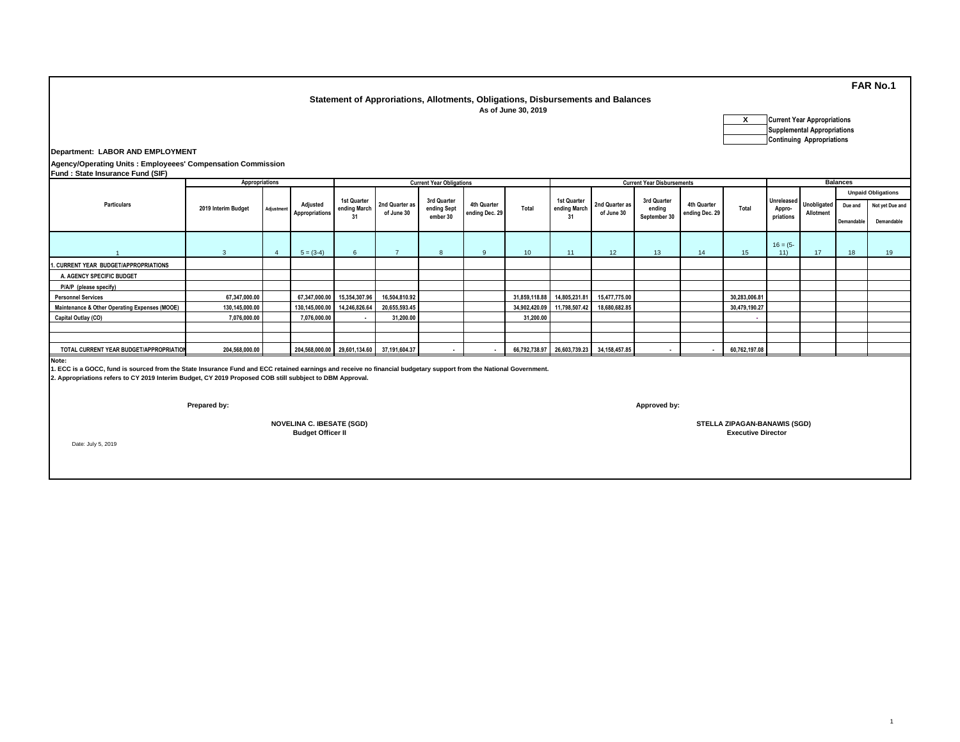## **Statement of Approriations, Allotments, Obligations, Disbursements and Balances As of June 30, 2019**

| x | <b>Current Year Appropriations</b> |
|---|------------------------------------|
|   | <b>Supplemental Appropriations</b> |
|   | <b>Continuing Appropriations</b>   |

**Department: LABOR AND EMPLOYMENT**

**Agency/Operating Units : Employeees' Compensation Commission Fund : State Insurance Fund (SIF)**

| $\mathbf{r}$ and . Older mountaince I and (OII ) |                     |            |                                   |                                  |                                            |                                 |                               |                  |                             |                                           |                                       |                               |               |                                          |                                 |            |                           |
|--------------------------------------------------|---------------------|------------|-----------------------------------|----------------------------------|--------------------------------------------|---------------------------------|-------------------------------|------------------|-----------------------------|-------------------------------------------|---------------------------------------|-------------------------------|---------------|------------------------------------------|---------------------------------|------------|---------------------------|
|                                                  | Appropriations      |            |                                   |                                  |                                            | <b>Current Year Obligations</b> |                               |                  |                             |                                           | <b>Current Year Disbursements</b>     |                               |               | <b>Balances</b>                          |                                 |            |                           |
|                                                  |                     |            |                                   |                                  |                                            |                                 |                               |                  |                             |                                           |                                       |                               |               |                                          |                                 |            | <b>Unpaid Obligations</b> |
| <b>Particulars</b>                               | 2019 Interim Budget | Adjustment | Adjusted<br><b>Appropriations</b> | 1st Quarter<br>ending March      | 2nd Quarter as<br>of June 30               | 3rd Quarter<br>ending Sept      | 4th Quarter<br>ending Dec. 29 | Total            | 1st Quarter<br>ending March | 2nd Quarter as<br>of June 30              | 3rd Quarter<br>ending<br>September 30 | 4th Quarter<br>ending Dec. 29 | Total         | <b>Unreleased</b><br>Appro-<br>priations | <b>Unobligated</b><br>Allotment | Due and    | Not yet Due and           |
|                                                  |                     |            |                                   |                                  |                                            | ember 30                        |                               |                  |                             |                                           |                                       |                               |               |                                          |                                 | Demandable | Demandable                |
|                                                  |                     |            | $5 = (3-4)$                       | 6                                |                                            | 8                               | 9                             | 10 <sup>10</sup> | 11                          | 12                                        | 13                                    | 14                            | 15            | $16 = (5 -$<br>11)                       | 17                              | 18         | 19                        |
| 1. CURRENT YEAR BUDGET/APPROPRIATIONS            |                     |            |                                   |                                  |                                            |                                 |                               |                  |                             |                                           |                                       |                               |               |                                          |                                 |            |                           |
| A. AGENCY SPECIFIC BUDGET                        |                     |            |                                   |                                  |                                            |                                 |                               |                  |                             |                                           |                                       |                               |               |                                          |                                 |            |                           |
| P/A/P (please specify)                           |                     |            |                                   |                                  |                                            |                                 |                               |                  |                             |                                           |                                       |                               |               |                                          |                                 |            |                           |
| <b>Personnel Services</b>                        | 67,347,000.00       |            |                                   | 67,347,000.00 15,354,307.96      | 16,504,810.92                              |                                 |                               |                  | 31,859,118.88 14,805,231.81 | 15,477,775.00                             |                                       |                               | 30,283,006.81 |                                          |                                 |            |                           |
| Maintenance & Other Operating Expenses (MOOE)    | 130,145,000.00      |            |                                   | 130, 145, 000.00 14, 246, 826.64 | 20,655,593.45                              |                                 |                               |                  | 34,902,420.09 11,798,507.42 | 18,680,682.85                             |                                       |                               | 30,479,190.27 |                                          |                                 |            |                           |
| Capital Outlay (CO)                              | 7,076,000.00        |            | 7,076,000.00                      |                                  | 31,200.00                                  |                                 |                               | 31,200.00        |                             |                                           |                                       |                               | . .           |                                          |                                 |            |                           |
|                                                  |                     |            |                                   |                                  |                                            |                                 |                               |                  |                             |                                           |                                       |                               |               |                                          |                                 |            |                           |
|                                                  |                     |            |                                   |                                  |                                            |                                 |                               |                  |                             |                                           |                                       |                               |               |                                          |                                 |            |                           |
| TOTAL CURRENT YEAR BUDGET/APPROPRIATION          | 204,568,000.00      |            |                                   |                                  | 204,568,000.00 29,601,134.60 37,191,604.37 |                                 |                               |                  |                             | 66,792,738.97 26,603,739.23 34,158,457.85 |                                       |                               | 60,762,197.08 |                                          |                                 |            |                           |
|                                                  |                     |            |                                   |                                  |                                            |                                 |                               |                  |                             |                                           |                                       |                               |               |                                          |                                 |            |                           |

**Note:**

**1. ECC is a GOCC, fund is sourced from the State Insurance Fund and ECC retained earnings and receive no financial budgetary support from the National Government.**

**2. Appropriations refers to CY 2019 Interim Budget, CY 2019 Proposed COB still subbject to DBM Approval.**

 **Budget Officer II NOVELINA C. IBESATE (SGD)**

**Prepared by: Approved by:**

 **STELLA ZIPAGAN-BANAWIS (SGD) Executive Director**

Date: July 5, 2019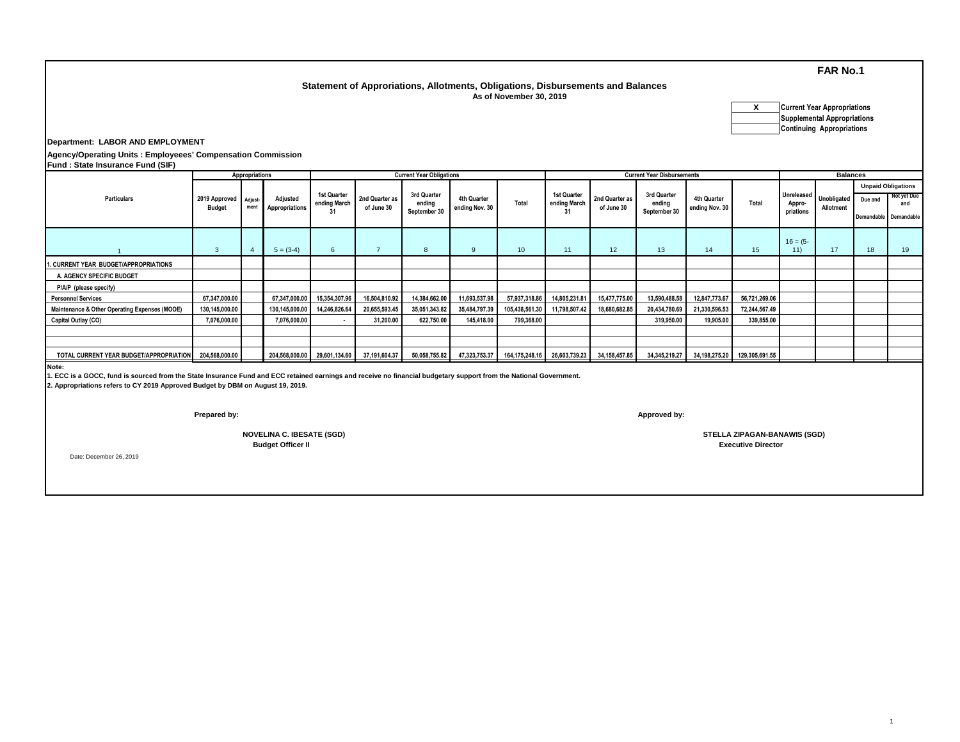## **Statement of Approriations, Allotments, Obligations, Disbursements and Balances**

 **As of November 30, 2019**

**X Current Year Appropriations Supplemental Appropriations Continuing Appropriations**

**Department: LABOR AND EMPLOYMENT**

**Agency/Operating Units : Employeees' Compensation Commission Fund : State Insurance Fund (SIF)**

|                                                                                                                                                                                                                                                               |                                        | Appropriations |                            |                                   |                              | <b>Current Year Obligations</b>       |                               |                              |                                   |                              | <b>Current Year Disbursements</b>     |                               | <b>Balances</b> |                                   |                          |                                  |                           |
|---------------------------------------------------------------------------------------------------------------------------------------------------------------------------------------------------------------------------------------------------------------|----------------------------------------|----------------|----------------------------|-----------------------------------|------------------------------|---------------------------------------|-------------------------------|------------------------------|-----------------------------------|------------------------------|---------------------------------------|-------------------------------|-----------------|-----------------------------------|--------------------------|----------------------------------|---------------------------|
|                                                                                                                                                                                                                                                               |                                        |                |                            |                                   | 2nd Quarter as<br>of June 30 |                                       |                               |                              |                                   |                              |                                       |                               |                 |                                   |                          |                                  | <b>Unpaid Obligations</b> |
| <b>Particulars</b>                                                                                                                                                                                                                                            | 2019 Approved Adjust-<br><b>Budget</b> | ment           | Adjusted<br>Appropriations | 1st Quarter<br>ending March<br>31 |                              | 3rd Quarter<br>endina<br>September 30 | 4th Quarter<br>ending Nov. 30 | Total                        | 1st Quarter<br>ending March<br>31 | 2nd Quarter as<br>of June 30 | 3rd Quarter<br>endina<br>September 30 | 4th Quarter<br>ending Nov. 30 | Total           | Unreleased<br>Appro-<br>priations | Unobligated<br>Allotment | Due and<br>Demandable Demandable | Not yet Due<br>and        |
|                                                                                                                                                                                                                                                               |                                        |                |                            |                                   |                              |                                       |                               |                              |                                   |                              |                                       |                               |                 |                                   |                          |                                  |                           |
|                                                                                                                                                                                                                                                               | 3                                      |                | $5 = (3-4)$                | 6                                 | $\overline{z}$               | 8                                     | 9                             | 10                           | 11                                | 12                           | 13                                    | 14                            | 15              | $16 = (5 -$<br>11)                | 17                       | 18                               | 19                        |
| 1. CURRENT YEAR BUDGET/APPROPRIATIONS                                                                                                                                                                                                                         |                                        |                |                            |                                   |                              |                                       |                               |                              |                                   |                              |                                       |                               |                 |                                   |                          |                                  |                           |
| A. AGENCY SPECIFIC BUDGET                                                                                                                                                                                                                                     |                                        |                |                            |                                   |                              |                                       |                               |                              |                                   |                              |                                       |                               |                 |                                   |                          |                                  |                           |
| P/A/P (please specify)                                                                                                                                                                                                                                        |                                        |                |                            |                                   |                              |                                       |                               |                              |                                   |                              |                                       |                               |                 |                                   |                          |                                  |                           |
| <b>Personnel Services</b>                                                                                                                                                                                                                                     | 67,347,000.00                          |                | 67,347,000.00              | 15,354,307.96                     | 16,504,810.92                | 14,384,662.00                         | 11,693,537.98                 | 57,937,318.86                | 14,805,231.81                     | 15,477,775.00                | 13,590,488.58                         | 12,847,773.67                 | 56,721,269.06   |                                   |                          |                                  |                           |
| Maintenance & Other Operating Expenses (MOOE)                                                                                                                                                                                                                 | 130,145,000.00                         |                | 130,145,000.00             | 14,246,826.64                     | 20,655,593.45                | 35,051,343.82                         | 35,484,797.39                 | 105,438,561.30               | 11,798,507.42                     | 18,680,682.85                | 20,434,780.69                         | 21,330,596.53                 | 72,244,567.49   |                                   |                          |                                  |                           |
| Capital Outlay (CO)                                                                                                                                                                                                                                           | 7,076,000.00                           |                | 7,076,000.00               | $\blacksquare$                    | 31,200.00                    | 622,750.00                            | 145,418.00                    | 799,368.00                   |                                   |                              | 319,950.00                            | 19,905.00                     | 339,855.00      |                                   |                          |                                  |                           |
|                                                                                                                                                                                                                                                               |                                        |                |                            |                                   |                              |                                       |                               |                              |                                   |                              |                                       |                               |                 |                                   |                          |                                  |                           |
|                                                                                                                                                                                                                                                               |                                        |                |                            |                                   |                              |                                       |                               |                              |                                   |                              |                                       |                               |                 |                                   |                          |                                  |                           |
| TOTAL CURRENT YEAR BUDGET/APPROPRIATION                                                                                                                                                                                                                       | 204,568,000.00                         |                |                            | 204,568,000.00 29,601,134.60      | 37,191,604.37                | 50,058,755.82                         | 47,323,753.37                 | 164,175,248.16 26,603,739.23 |                                   | 34,158,457.85                | 34, 345, 219. 27                      | 34,198,275.20                 | 129,305,691.55  |                                   |                          |                                  |                           |
| Note:<br>1. ECC is a GOCC, fund is sourced from the State Insurance Fund and ECC retained earnings and receive no financial budgetary support from the National Government.<br>2. Appropriations refers to CY 2019 Approved Budget by DBM on August 19, 2019. |                                        |                |                            |                                   |                              |                                       |                               |                              |                                   |                              |                                       |                               |                 |                                   |                          |                                  |                           |

**Prepared by: Approved by:**

**NOVELINA C. IBESATE (SGD)**<br>Budget Officer II

Date: December 26, 2019

**NOVELINA C. IBESATE (SGD) STELLA ZIPAGAN-BANAWIS (SGD) Executive Director**

1